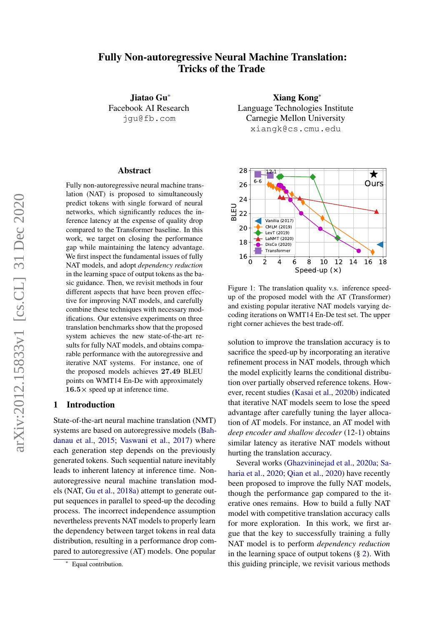# Fully Non-autoregressive Neural Machine Translation: Tricks of the Trade

Jiatao Gu<sup>∗</sup> Facebook AI Research jgu@fb.com

#### Abstract

Fully non-autoregressive neural machine translation (NAT) is proposed to simultaneously predict tokens with single forward of neural networks, which significantly reduces the inference latency at the expense of quality drop compared to the Transformer baseline. In this work, we target on closing the performance gap while maintaining the latency advantage. We first inspect the fundamental issues of fully NAT models, and adopt *dependency reduction* in the learning space of output tokens as the basic guidance. Then, we revisit methods in four different aspects that have been proven effective for improving NAT models, and carefully combine these techniques with necessary modifications. Our extensive experiments on three translation benchmarks show that the proposed system achieves the new state-of-the-art results for fully NAT models, and obtains comparable performance with the autoregressive and iterative NAT systems. For instance, one of the proposed models achieves 27.49 BLEU points on WMT14 En-De with approximately  $16.5 \times$  speed up at inference time.

### 1 Introduction

State-of-the-art neural machine translation (NMT) systems are based on autoregressive models [\(Bah](#page-9-0)[danau et al.,](#page-9-0) [2015;](#page-9-0) [Vaswani et al.,](#page-11-0) [2017\)](#page-11-0) where each generation step depends on the previously generated tokens. Such sequential nature inevitably leads to inherent latency at inference time. Nonautoregressive neural machine translation models (NAT, [Gu et al.,](#page-9-1) [2018a\)](#page-9-1) attempt to generate output sequences in parallel to speed-up the decoding process. The incorrect independence assumption nevertheless prevents NAT models to properly learn the dependency between target tokens in real data distribution, resulting in a performance drop compared to autoregressive (AT) models. One popular

Xiang Kong<sup>∗</sup> Language Technologies Institute Carnegie Mellon University xiangk@cs.cmu.edu

<span id="page-0-0"></span>

Figure 1: The translation quality v.s. inference speedup of the proposed model with the AT (Transformer) and existing popular iterative NAT models varying decoding iterations on WMT14 En-De test set. The upper right corner achieves the best trade-off.

solution to improve the translation accuracy is to sacrifice the speed-up by incorporating an iterative refinement process in NAT models, through which the model explicitly learns the conditional distribution over partially observed reference tokens. However, recent studies [\(Kasai et al.,](#page-10-0) [2020b\)](#page-10-0) indicated that iterative NAT models seem to lose the speed advantage after carefully tuning the layer allocation of AT models. For instance, an AT model with *deep encoder and shallow decoder* (12-1) obtains similar latency as iterative NAT models without hurting the translation accuracy.

Several works [\(Ghazvininejad et al.,](#page-9-2) [2020a;](#page-9-2) [Sa](#page-11-1)[haria et al.,](#page-11-1) [2020;](#page-11-1) [Qian et al.,](#page-10-1) [2020\)](#page-10-1) have recently been proposed to improve the fully NAT models, though the performance gap compared to the iterative ones remains. How to build a fully NAT model with competitive translation accuracy calls for more exploration. In this work, we first argue that the key to successfully training a fully NAT model is to perform *dependency reduction* in the learning space of output tokens  $(\S 2)$  $(\S 2)$ . With this guiding principle, we revisit various methods

<sup>∗</sup> Equal contribution.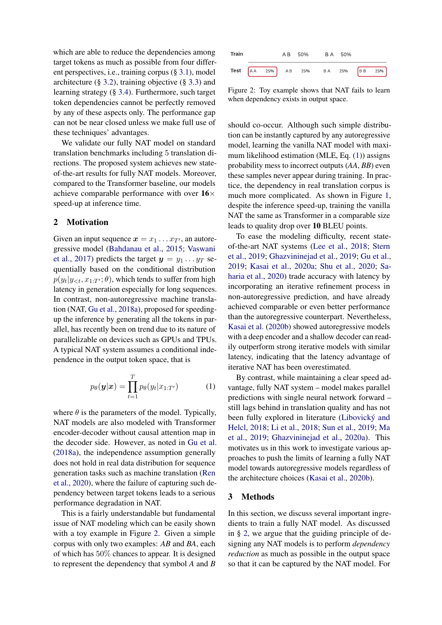which are able to reduce the dependencies among target tokens as much as possible from four different perspectives, i.e., training corpus (§ [3.1\)](#page-2-0), model architecture (§ [3.2\)](#page-2-1), training objective (§ [3.3\)](#page-2-2) and learning strategy (§ [3.4\)](#page-3-0). Furthermore, such target token dependencies cannot be perfectly removed by any of these aspects only. The performance gap can not be near closed unless we make full use of these techniques' advantages.

We validate our fully NAT model on standard translation benchmarks including 5 translation directions. The proposed system achieves new stateof-the-art results for fully NAT models. Moreover, compared to the Transformer baseline, our models achieve comparable performance with over  $16\times$ speed-up at inference time.

### <span id="page-1-0"></span>2 Motivation

Given an input sequence  $x = x_1 \dots x_{T}$ , an autoregressive model [\(Bahdanau et al.,](#page-9-0) [2015;](#page-9-0) [Vaswani](#page-11-0) [et al.,](#page-11-0) [2017\)](#page-11-0) predicts the target  $y = y_1 \dots y_T$  sequentially based on the conditional distribution  $p(y_t | y_{< t}, x_{1:T'}; \theta)$ , which tends to suffer from high latency in generation especially for long sequences. In contrast, non-autoregressive machine translation (NAT, [Gu et al.,](#page-9-1) [2018a\)](#page-9-1), proposed for speedingup the inference by generating all the tokens in parallel, has recently been on trend due to its nature of parallelizable on devices such as GPUs and TPUs. A typical NAT system assumes a conditional independence in the output token space, that is

$$
p_{\theta}(\boldsymbol{y}|\boldsymbol{x}) = \prod_{t=1}^{T} p_{\theta}(y_t|x_{1:T'}) \tag{1}
$$

where  $\theta$  is the parameters of the model. Typically, NAT models are also modeled with Transformer encoder-decoder without causal attention map in the decoder side. However, as noted in [Gu et al.](#page-9-1) [\(2018a\)](#page-9-1), the independence assumption generally does not hold in real data distribution for sequence generation tasks such as machine translation [\(Ren](#page-10-2) [et al.,](#page-10-2) [2020\)](#page-10-2), where the failure of capturing such dependency between target tokens leads to a serious performance degradation in NAT.

This is a fairly understandable but fundamental issue of NAT modeling which can be easily shown with a toy example in Figure [2.](#page-1-1) Given a simple corpus with only two examples: *AB* and *BA*, each of which has 50% chances to appear. It is designed to represent the dependency that symbol *A* and *B*

<span id="page-1-1"></span>

Figure 2: Toy example shows that NAT fails to learn when dependency exists in output space.

should co-occur. Although such simple distribution can be instantly captured by any autoregressive model, learning the vanilla NAT model with maximum likelihood estimation (MLE, Eq. [\(1\)](#page-1-2)) assigns probability mess to incorrect outputs (*AA*, *BB*) even these samples never appear during training. In practice, the dependency in real translation corpus is much more complicated. As shown in Figure [1,](#page-0-0) despite the inference speed-up, training the vanilla NAT the same as Transformer in a comparable size leads to quality drop over 10 BLEU points.

To ease the modeling difficulty, recent stateof-the-art NAT systems [\(Lee et al.,](#page-10-3) [2018;](#page-10-3) [Stern](#page-11-2) [et al.,](#page-11-2) [2019;](#page-11-2) [Ghazvininejad et al.,](#page-9-3) [2019;](#page-9-3) [Gu et al.,](#page-9-4) [2019;](#page-9-4) [Kasai et al.,](#page-9-5) [2020a;](#page-9-5) [Shu et al.,](#page-11-3) [2020;](#page-11-3) [Sa](#page-11-1)[haria et al.,](#page-11-1) [2020\)](#page-11-1) trade accuracy with latency by incorporating an iterative refinement process in non-autoregressive prediction, and have already achieved comparable or even better performance than the autoregressive counterpart. Nevertheless, [Kasai et al.](#page-10-0) [\(2020b\)](#page-10-0) showed autoregressive models with a deep encoder and a shallow decoder can readily outperform strong iterative models with similar latency, indicating that the latency advantage of iterative NAT has been overestimated.

<span id="page-1-2"></span>By contrast, while maintaining a clear speed advantage, fully NAT system – model makes parallel predictions with single neural network forward – still lags behind in translation quality and has not been fully explored in literature (Libovický and [Helcl,](#page-10-4) [2018;](#page-10-4) [Li et al.,](#page-10-5) [2018;](#page-10-5) [Sun et al.,](#page-11-4) [2019;](#page-11-4) [Ma](#page-10-6) [et al.,](#page-10-6) [2019;](#page-10-6) [Ghazvininejad et al.,](#page-9-2) [2020a\)](#page-9-2). This motivates us in this work to investigate various approaches to push the limits of learning a fully NAT model towards autoregressive models regardless of the architecture choices [\(Kasai et al.,](#page-10-0) [2020b\)](#page-10-0).

### 3 Methods

In this section, we discuss several important ingredients to train a fully NAT model. As discussed in § [2,](#page-1-0) we argue that the guiding principle of designing any NAT models is to perform *dependency reduction* as much as possible in the output space so that it can be captured by the NAT model. For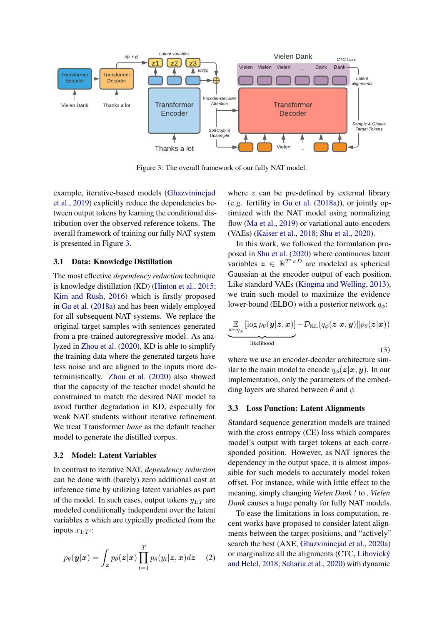<span id="page-2-3"></span>

Figure 3: The overall framework of our fully NAT model.

example, iterative-based models [\(Ghazvininejad](#page-9-3) [et al.,](#page-9-3) [2019\)](#page-9-3) explicitly reduce the dependencies between output tokens by learning the conditional distribution over the observed reference tokens. The overall framework of training our fully NAT system is presented in Figure [3.](#page-2-3)

#### <span id="page-2-0"></span>3.1 Data: Knowledge Distillation

The most effective *dependency reduction* technique is knowledge distillation (KD) [\(Hinton et al.,](#page-9-6) [2015;](#page-9-6) [Kim and Rush,](#page-10-7) [2016\)](#page-10-7) which is firstly proposed in [Gu et al.](#page-9-1) [\(2018a\)](#page-9-1) and has been widely employed for all subsequent NAT systems. We replace the original target samples with sentences generated from a pre-trained autoregressive model. As analyzed in [Zhou et al.](#page-11-5) [\(2020\)](#page-11-5), KD is able to simplify the training data where the generated targets have less noise and are aligned to the inputs more deterministically. [Zhou et al.](#page-11-5) [\(2020\)](#page-11-5) also showed that the capacity of the teacher model should be constrained to match the desired NAT model to avoid further degradation in KD, especially for weak NAT students without iterative refinement. We treat Transformer *base* as the default teacher model to generate the distilled corpus.

### <span id="page-2-1"></span>3.2 Model: Latent Variables

In contrast to iterative NAT, *dependency reduction* can be done with (barely) zero additional cost at inference time by utilizing latent variables as part of the model. In such cases, output tokens  $y_{1:T}$  are modeled conditionally independent over the latent variables z which are typically predicted from the inputs  $x_{1:T'}$ :

$$
p_{\theta}(\boldsymbol{y}|\boldsymbol{x}) = \int_{\boldsymbol{z}} p_{\theta}(\boldsymbol{z}|\boldsymbol{x}) \prod_{t=1}^{T} p_{\theta}(y_t|\boldsymbol{z}, \boldsymbol{x}) d\boldsymbol{z} \quad (2)
$$

where z can be pre-defined by external library (e.g. fertility in [Gu et al.](#page-9-1) [\(2018a\)](#page-9-1)), or jointly optimized with the NAT model using normalizing flow [\(Ma et al.,](#page-10-6) [2019\)](#page-10-6) or variational auto-encoders (VAEs) [\(Kaiser et al.,](#page-9-7) [2018;](#page-9-7) [Shu et al.,](#page-11-3) [2020\)](#page-11-3).

In this work, we followed the formulation proposed in [Shu et al.](#page-11-3) [\(2020\)](#page-11-3) where continuous latent variables  $z \in \mathbb{R}^{T' \times D}$  are modeled as spherical Gaussian at the encoder output of each position. Like standard VAEs [\(Kingma and Welling,](#page-10-8) [2013\)](#page-10-8), we train such model to maximize the evidence lower-bound (ELBO) with a posterior network  $q_{\phi}$ :

<span id="page-2-4"></span>
$$
\underbrace{\mathbb{E}_{z \sim q_{\phi}} [\log p_{\theta}(\mathbf{y}|\mathbf{z}, \mathbf{x})] - \mathcal{D}_{\text{KL}}(q_{\phi}(\mathbf{z}|\mathbf{x}, \mathbf{y}) || p_{\theta}(\mathbf{z}|\mathbf{x}))}_{\text{likelihood}}
$$
\n(3)

where we use an encoder-decoder architecture similar to the main model to encode  $q_{\phi}(z|x, y)$ . In our implementation, only the parameters of the embedding layers are shared between  $\theta$  and  $\phi$ 

#### <span id="page-2-2"></span>3.3 Loss Function: Latent Alignments

Standard sequence generation models are trained with the cross entropy (CE) loss which compares model's output with target tokens at each corresponded position. However, as NAT ignores the dependency in the output space, it is almost impossible for such models to accurately model token offset. For instance, while with little effect to the meaning, simply changing *Vielen Dank !* to *, Vielen Dank* causes a huge penalty for fully NAT models.

To ease the limitations in loss computation, recent works have proposed to consider latent alignments between the target positions, and "actively" search the best (AXE, [Ghazvininejad et al.,](#page-9-2) [2020a\)](#page-9-2) or marginalize all the alignments (CTC, [Libovicky´](#page-10-4) [and Helcl,](#page-10-4) [2018;](#page-10-4) [Saharia et al.,](#page-11-1) [2020\)](#page-11-1) with dynamic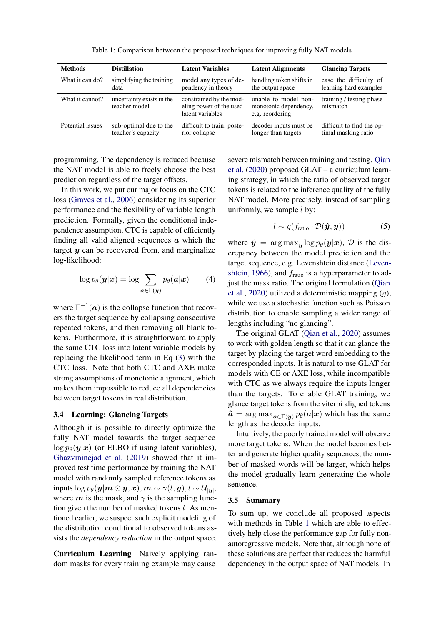<span id="page-3-1"></span>

| <b>Methods</b>   | <b>Distillation</b>                          | <b>Latent Variables</b>                                                | <b>Latent Alignments</b>                                         | <b>Glancing Targets</b>                          |
|------------------|----------------------------------------------|------------------------------------------------------------------------|------------------------------------------------------------------|--------------------------------------------------|
| What it can do?  | simplifying the training<br>data             | model any types of de-<br>pendency in theory                           | handling token shifts in<br>the output space                     | ease the difficulty of<br>learning hard examples |
| What it cannot?  | uncertainty exists in the<br>teacher model   | constrained by the mod-<br>eling power of the used<br>latent variables | unable to model non-<br>monotonic dependency,<br>e.g. reordering | training / testing phase<br>mismatch             |
| Potential issues | sub-optimal due to the<br>teacher's capacity | difficult to train; poste-<br>rior collapse                            | decoder inputs must be<br>longer than targets                    | difficult to find the op-<br>timal masking ratio |

Table 1: Comparison between the proposed techniques for improving fully NAT models

programming. The dependency is reduced because the NAT model is able to freely choose the best prediction regardless of the target offsets.

In this work, we put our major focus on the CTC loss [\(Graves et al.,](#page-9-8) [2006\)](#page-9-8) considering its superior performance and the flexibility of variable length prediction. Formally, given the conditional independence assumption, CTC is capable of efficiently finding all valid aligned sequences  $\alpha$  which the target  $y$  can be recovered from, and marginalize log-likelihood:

$$
\log p_{\theta}(\mathbf{y}|\mathbf{x}) = \log \sum_{\mathbf{a} \in \Gamma(\mathbf{y})} p_{\theta}(\mathbf{a}|\mathbf{x}) \qquad (4)
$$

where  $\Gamma^{-1}(a)$  is the collapse function that recovers the target sequence by collapsing consecutive repeated tokens, and then removing all blank tokens. Furthermore, it is straightforward to apply the same CTC loss into latent variable models by replacing the likelihood term in Eq [\(3\)](#page-2-4) with the CTC loss. Note that both CTC and AXE make strong assumptions of monotonic alignment, which makes them impossible to reduce all dependencies between target tokens in real distribution.

### <span id="page-3-0"></span>3.4 Learning: Glancing Targets

Although it is possible to directly optimize the fully NAT model towards the target sequence  $\log p_{\theta}(\mathbf{y}|\mathbf{x})$  (or ELBO if using latent variables), [Ghazvininejad et al.](#page-9-3) [\(2019\)](#page-9-3) showed that it improved test time performance by training the NAT model with randomly sampled reference tokens as inputs  $\log p_{\theta}(\boldsymbol{y}|\boldsymbol{m} \odot \boldsymbol{y},\boldsymbol{x}), \boldsymbol{m} \sim \gamma(l,\boldsymbol{y}), l \sim \mathcal{U}_{|\boldsymbol{y}|},$ where m is the mask, and  $\gamma$  is the sampling function given the number of masked tokens l. As mentioned earlier, we suspect such explicit modeling of the distribution conditional to observed tokens assists the *dependency reduction* in the output space.

Curriculum Learning Naively applying random masks for every training example may cause severe mismatch between training and testing. [Qian](#page-10-1) [et al.](#page-10-1) [\(2020\)](#page-10-1) proposed GLAT – a curriculum learning strategy, in which the ratio of observed target tokens is related to the inference quality of the fully NAT model. More precisely, instead of sampling uniformly, we sample  $l$  by:

$$
l \sim g(f_{\text{ratio}} \cdot \mathcal{D}(\hat{\boldsymbol{y}}, \boldsymbol{y})) \tag{5}
$$

where  $\hat{\mathbf{y}} = \arg \max_{\mathbf{y}} \log p_{\theta}(\mathbf{y}|\mathbf{x}), \mathcal{D}$  is the discrepancy between the model prediction and the target sequence, e.g. Levenshtein distance [\(Leven](#page-10-9)[shtein,](#page-10-9) [1966\)](#page-10-9), and  $f_{\text{ratio}}$  is a hyperparameter to adjust the mask ratio. The original formulation [\(Qian](#page-10-1) [et al.,](#page-10-1) [2020\)](#page-10-1) utilized a deterministic mapping (g), while we use a stochastic function such as Poisson distribution to enable sampling a wider range of lengths including "no glancing".

The original GLAT [\(Qian et al.,](#page-10-1) [2020\)](#page-10-1) assumes to work with golden length so that it can glance the target by placing the target word embedding to the corresponded inputs. It is natural to use GLAT for models with CE or AXE loss, while incompatible with CTC as we always require the inputs longer than the targets. To enable GLAT training, we glance target tokens from the viterbi aligned tokens  $\hat{\mathbf{a}} = \arg \max_{\mathbf{a} \in \Gamma(\mathbf{y})} p_{\theta}(\mathbf{a}|\mathbf{x})$  which has the same length as the decoder inputs.

Intuitively, the poorly trained model will observe more target tokens. When the model becomes better and generate higher quality sequences, the number of masked words will be larger, which helps the model gradually learn generating the whole sentence.

### 3.5 Summary

To sum up, we conclude all proposed aspects with methods in Table [1](#page-3-1) which are able to effectively help close the performance gap for fully nonautoregressive models. Note that, although none of these solutions are perfect that reduces the harmful dependency in the output space of NAT models. In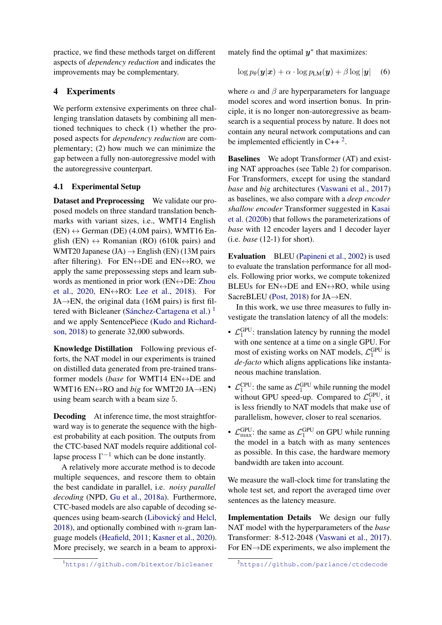practice, we find these methods target on different aspects of *dependency reduction* and indicates the improvements may be complementary.

# 4 Experiments

We perform extensive experiments on three challenging translation datasets by combining all mentioned techniques to check (1) whether the proposed aspects for *dependency reduction* are complementary; (2) how much we can minimize the gap between a fully non-autoregressive model with the autoregressive counterpart.

# 4.1 Experimental Setup

Dataset and Preprocessing We validate our proposed models on three standard translation benchmarks with variant sizes, i.e., WMT14 English  $(EN) \leftrightarrow German (DE) (4.0M pairs)$ , WMT16 English (EN)  $\leftrightarrow$  Romanian (RO) (610k pairs) and WMT20 Japanese (JA)  $\rightarrow$  English (EN) (13M pairs after filtering). For  $EN \leftrightarrow DE$  and  $EN \leftrightarrow RO$ , we apply the same prepossessing steps and learn subwords as mentioned in prior work ( $EN \leftrightarrow DE$ : [Zhou](#page-11-5) [et al.,](#page-11-5) [2020,](#page-11-5)  $EN \leftrightarrow RO$ : [Lee et al.,](#page-10-3) [2018\)](#page-10-3). For  $JA \rightarrow EN$ , the original data (16M pairs) is first fil-tered with Bicleaner (Sánchez-Cartagena et al.)<sup>[1](#page-4-0)</sup> and we apply SentencePiece [\(Kudo and Richard](#page-10-10)[son,](#page-10-10) [2018\)](#page-10-10) to generate 32,000 subwords.

Knowledge Distillation Following previous efforts, the NAT model in our experiments is trained on distilled data generated from pre-trained transformer models (*base* for WMT14 EN↔DE and WMT16 EN<sup>↔</sup>RO and *big* for WMT20 JA→EN) using beam search with a beam size 5.

Decoding At inference time, the most straightforward way is to generate the sequence with the highest probability at each position. The outputs from the CTC-based NAT models require additional collapse process  $\Gamma^{-1}$  which can be done instantly.

A relatively more accurate method is to decode multiple sequences, and rescore them to obtain the best candidate in parallel, i.e. *noisy parallel decoding* (NPD, [Gu et al.,](#page-9-1) [2018a\)](#page-9-1). Furthermore, CTC-based models are also capable of decoding sequences using beam-search (Libovický and Helcl, [2018\)](#page-10-4), and optionally combined with  $n$ -gram language models [\(Heafield,](#page-9-9) [2011;](#page-9-9) [Kasner et al.,](#page-10-11) [2020\)](#page-10-11). More precisely, we search in a beam to approximately find the optimal  $y^*$  that maximizes:

<span id="page-4-2"></span>
$$
\log p_{\theta}(\mathbf{y}|\mathbf{x}) + \alpha \cdot \log p_{\text{LM}}(\mathbf{y}) + \beta \log |\mathbf{y}| \quad (6)
$$

where  $\alpha$  and  $\beta$  are hyperparameters for language model scores and word insertion bonus. In principle, it is no longer non-autoregressive as beamsearch is a sequential process by nature. It does not contain any neural network computations and can be implemented efficiently in  $C++^2$  $C++^2$ .

Baselines We adopt Transformer (AT) and existing NAT approaches (see Table [2\)](#page-5-0) for comparison. For Transformers, except for using the standard *base* and *big* architectures [\(Vaswani et al.,](#page-11-0) [2017\)](#page-11-0) as baselines, we also compare with a *deep encoder shallow encoder* Transformer suggested in [Kasai](#page-10-0) [et al.](#page-10-0) [\(2020b\)](#page-10-0) that follows the parameterizations of *base* with 12 encoder layers and 1 decoder layer (i.e. *base* (12-1) for short).

Evaluation BLEU [\(Papineni et al.,](#page-10-12) [2002\)](#page-10-12) is used to evaluate the translation performance for all models. Following prior works, we compute tokenized BLEUs for  $EN \leftrightarrow DE$  and  $EN \leftrightarrow RO$ , while using SacreBLEU [\(Post,](#page-10-13) [2018\)](#page-10-13) for JA→EN.

In this work, we use three measures to fully investigate the translation latency of all the models:

- $\mathcal{L}_1^{\text{GPU}}$ : translation latency by running the model with one sentence at a time on a single GPU. For most of existing works on NAT models,  $\mathcal{L}_1^{\text{GPU}}$  is *de-facto* which aligns applications like instantaneous machine translation.
- $\mathcal{L}_1^{\text{CPU}}$ : the same as  $\mathcal{L}_1^{\text{GPU}}$  while running the model without GPU speed-up. Compared to  $\mathcal{L}_1^{\text{GPU}}$ , it is less friendly to NAT models that make use of parallelism, however, closer to real scenarios.
- $\mathcal{L}_{\text{max}}^{\text{GPU}}$ : the same as  $\mathcal{L}_1^{\text{GPU}}$  on GPU while running the model in a batch with as many sentences as possible. In this case, the hardware memory bandwidth are taken into account.

We measure the wall-clock time for translating the whole test set, and report the averaged time over sentences as the latency measure.

Implementation Details We design our fully NAT model with the hyperparameters of the *base* Transformer: 8-512-2048 [\(Vaswani et al.,](#page-11-0) [2017\)](#page-11-0). For EN→DE experiments, we also implement the

<span id="page-4-0"></span><sup>1</sup><https://github.com/bitextor/bicleaner>

<span id="page-4-1"></span><sup>2</sup><https://github.com/parlance/ctcdecode>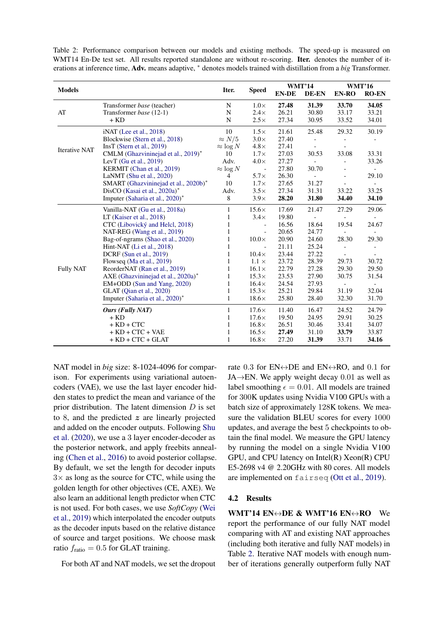<span id="page-5-0"></span>Table 2: Performance comparison between our models and existing methods. The speed-up is measured on WMT14 En-De test set. All results reported standalone are without re-scoring. Iter. denotes the number of iterations at inference time, Adv. means adaptive, <sup>∗</sup> denotes models trained with distillation from a *big* Transformer.

|                      |                                      |                  | <b>Speed</b>             | <b>WMT'14</b> |                          | <b>WMT'16</b>            |                          |
|----------------------|--------------------------------------|------------------|--------------------------|---------------|--------------------------|--------------------------|--------------------------|
| <b>Models</b>        |                                      | Iter.            |                          | <b>EN-DE</b>  | DE-EN                    | EN-RO                    | <b>RO-EN</b>             |
|                      | Transformer base (teacher)           | N                | $1.0\times$              | 27.48         | 31.39                    | 33.70                    | 34.05                    |
| AT                   | Transformer base (12-1)              | N                | $2.4\times$              | 26.21         | 30.80                    | 33.17                    | 33.21                    |
|                      | $+$ KD                               | N                | $2.5\times$              | 27.34         | 30.95                    | 33.52                    | 34.01                    |
|                      | $iNAT$ (Lee et al., 2018)            | 10               | $1.5\times$              | 21.61         | 25.48                    | 29.32                    | 30.19                    |
|                      | Blockwise (Stern et al., 2018)       | $\approx N/5$    | $3.0\times$              | 27.40         |                          |                          |                          |
|                      | $InsT$ (Stern et al., 2019)          | $\approx \log N$ | $4.8\times$              | 27.41         |                          |                          |                          |
| <b>Iterative NAT</b> | CMLM (Ghazvininejad et al., 2019)*   | 10               | $1.7\times$              | 27.03         | 30.53                    | 33.08                    | 33.31                    |
|                      | LevT (Gu et al., $2019$ )            | Adv.             | $4.0\times$              | 27.27         |                          |                          | 33.26                    |
|                      | KERMIT (Chan et al., 2019)           | $\approx \log N$ | $\overline{\phantom{a}}$ | 27.80         | 30.70                    | $\qquad \qquad -$        |                          |
|                      | LaNMT (Shu et al., 2020)             | $\overline{4}$   | $5.7\times$              | 26.30         | $\overline{\phantom{a}}$ | $\blacksquare$           | 29.10                    |
|                      | SMART (Ghazvininejad et al., 2020b)* | 10               | $1.7\times$              | 27.65         | 31.27                    |                          | $\overline{\phantom{a}}$ |
|                      | DisCO (Kasai et al., 2020a)*         | Adv.             | $3.5\times$              | 27.34         | 31.31                    | 33.22                    | 33.25                    |
|                      | Imputer (Saharia et al., 2020)*      | 8                | $3.9\times$              | 28.20         | 31.80                    | 34.40                    | 34.10                    |
|                      | Vanilla-NAT (Gu et al., 2018a)       | 1                | $15.6\times$             | 17.69         | 21.47                    | 27.29                    | 29.06                    |
|                      | LT (Kaiser et al., 2018)             | 1                | $3.4\times$              | 19.80         |                          |                          |                          |
|                      | CTC (Libovický and Helcl, 2018)      | 1                | $\overline{\phantom{a}}$ | 16.56         | 18.64                    | 19.54                    | 24.67                    |
|                      | NAT-REG (Wang et al., 2019)          | 1                | $\overline{\phantom{a}}$ | 20.65         | 24.77                    |                          |                          |
|                      | Bag-of-ngrams (Shao et al., 2020)    | 1                | $10.0\times$             | 20.90         | 24.60                    | 28.30                    | 29.30                    |
|                      | Hint-NAT (Li et al., 2018)           | 1                | $\overline{\phantom{a}}$ | 21.11         | 25.24                    | $\bar{a}$                | $\overline{\phantom{a}}$ |
|                      | DCRF (Sun et al., 2019)              | 1                | $10.4\times$             | 23.44         | 27.22                    | $\overline{\phantom{a}}$ |                          |
|                      | Flowseq (Ma et al., 2019)            | 1                | $1.1 \times$             | 23.72         | 28.39                    | 29.73                    | 30.72                    |
| <b>Fully NAT</b>     | ReorderNAT (Ran et al., 2019)        | 1                | $16.1\times$             | 22.79         | 27.28                    | 29.30                    | 29.50                    |
|                      | AXE (Ghazvininejad et al., 2020a)*   | 1                | $15.3\times$             | 23.53         | 27.90                    | 30.75                    | 31.54                    |
|                      | EM+ODD (Sun and Yang, 2020)          | 1                | $16.4\times$             | 24.54         | 27.93                    | $\sim$                   | $\overline{\phantom{a}}$ |
|                      | GLAT (Qian et al., 2020)             | 1                | $15.3\times$             | 25.21         | 29.84                    | 31.19                    | 32.04                    |
|                      | Imputer (Saharia et al., 2020)*      | 1                | $18.6\times$             | 25.80         | 28.40                    | 32.30                    | 31.70                    |
|                      | Ours (Fully NAT)                     | 1                | $17.6\times$             | 11.40         | 16.47                    | 24.52                    | 24.79                    |
|                      | $+$ KD                               | 1                | $17.6\times$             | 19.50         | 24.95                    | 29.91                    | 30.25                    |
|                      | $+ KD + CTC$                         | 1                | $16.8\times$             | 26.51         | 30.46                    | 33.41                    | 34.07                    |
|                      | $+$ KD $+$ CTC $+$ VAE               | 1                | $16.5\times$             | 27.49         | 31.10                    | 33.79                    | 33.87                    |
|                      | $+$ KD $+$ CTC $+$ GLAT              | 1                | $16.8\times$             | 27.20         | 31.39                    | 33.71                    | 34.16                    |

NAT model in *big* size: 8-1024-4096 for comparison. For experiments using variational autoencoders (VAE), we use the last layer encoder hidden states to predict the mean and variance of the prior distribution. The latent dimension  $D$  is set to 8, and the predicted  $z$  are linearly projected and added on the encoder outputs. Following [Shu](#page-11-3) [et al.](#page-11-3) [\(2020\)](#page-11-3), we use a 3 layer encoder-decoder as the posterior network, and apply freebits annealing [\(Chen et al.,](#page-9-12) [2016\)](#page-9-12) to avoid posterior collapse. By default, we set the length for decoder inputs  $3\times$  as long as the source for CTC, while using the golden length for other objectives (CE, AXE). We also learn an additional length predictor when CTC is not used. For both cases, we use *SoftCopy* [\(Wei](#page-11-11) [et al.,](#page-11-11) [2019\)](#page-11-11) which interpolated the encoder outputs as the decoder inputs based on the relative distance of source and target positions. We choose mask ratio  $f_{\text{ratio}} = 0.5$  for GLAT training.

For both AT and NAT models, we set the dropout

rate 0.3 for  $EN \leftrightarrow DE$  and  $EN \leftrightarrow RO$ , and 0.1 for JA $\rightarrow$ EN. We apply weight decay 0.01 as well as label smoothing  $\epsilon = 0.01$ . All models are trained for 300K updates using Nvidia V100 GPUs with a batch size of approximately 128K tokens. We measure the validation BLEU scores for every 1000 updates, and average the best 5 checkpoints to obtain the final model. We measure the GPU latency by running the model on a single Nvidia V100 GPU, and CPU latency on Intel(R) Xeon(R) CPU E5-2698 v4 @ 2.20GHz with 80 cores. All models are implemented on fairseq [\(Ott et al.,](#page-10-15) [2019\)](#page-10-15).

### <span id="page-5-1"></span>4.2 Results

WMT'14 EN↔DE & WMT'16 EN↔RO We report the performance of our fully NAT model comparing with AT and existing NAT approaches (including both iterative and fully NAT models) in Table [2.](#page-5-0) Iterative NAT models with enough number of iterations generally outperform fully NAT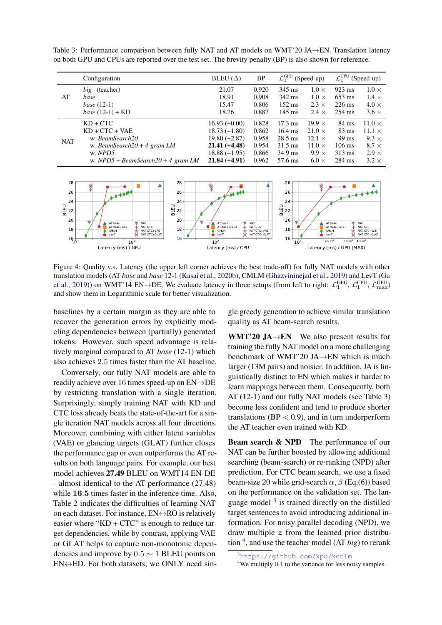<span id="page-6-0"></span>Table 3: Performance comparison between fully NAT and AT models on WMT'20 JA→EN. Translation latency on both GPU and CPUs are reported over the test set. The brevity penalty (BP) is also shown for reference.

|            | Configuration                               | BLEU $(\Delta)$ | BP    | $\mathcal{L}_1^{\rm GPU}$ | (Speed-up)    | $\mathcal{L}_1^{\mathrm{CPU}}$ | (Speed-up)    |
|------------|---------------------------------------------|-----------------|-------|---------------------------|---------------|--------------------------------|---------------|
|            | <i>big</i> (teacher)                        | 21.07           | 0.920 | $345$ ms                  | $1.0 \times$  | $923 \text{ ms}$               | $1.0 \times$  |
| AT         | base                                        | 18.91           | 0.908 | 342 ms                    | $1.0 \times$  | $653 \text{ ms}$               | $1.4 \times$  |
|            | base $(12-1)$                               | 15.47           | 0.806 | $152 \text{ ms}$          | $2.3 \times$  | $226$ ms                       | $4.0 \times$  |
|            | <i>base</i> $(12-1) + KD$                   | 18.76           | 0.887 | $145 \text{ ms}$          | $2.4 \times$  | 254 ms                         | $3.6 \times$  |
|            | $KD + CTC$                                  | $16.93 (+0.00)$ | 0.828 | $17.3 \text{ ms}$         | $19.9 \times$ | 84 ms                          | $11.0 \times$ |
|            | $KD + CTC + VAE$                            | $18.73 (+1.80)$ | 0.862 | $16.4 \text{ ms}$         | $21.0 \times$ | $83 \text{ ms}$                | $11.1 \times$ |
| <b>NAT</b> | w. BeamSearch20                             | $19.80 (+2.87)$ | 0.958 | $28.5$ ms                 | $12.1 \times$ | 99 ms                          | $9.3 \times$  |
|            | w. BeamSearch20 + 4-gram $LM$               | $21.41 (+4.48)$ | 0.954 | $31.5 \text{ ms}$         | $11.0 \times$ | $106 \text{ ms}$               | $8.7 \times$  |
|            | w. NPD5                                     | $18.88 (+1.95)$ | 0.866 | $34.9$ ms                 | $9.9 \times$  | $313 \text{ ms}$               | $2.9 \times$  |
|            | w. $NPD5 + BeamSearch20 + 4\text{-}gram LM$ | $21.84 (+4.91)$ | 0.962 | 57.6 ms                   | $6.0 \times$  | 284 ms                         | $3.2 \times$  |

<span id="page-6-3"></span>

Figure 4: Quality v.s. Latency (the upper left corner achieves the best trade-off) for fully NAT models with other translation models (AT *base* and *base* 12-1 [\(Kasai et al.,](#page-10-0) [2020b\)](#page-10-0), CMLM [\(Ghazvininejad et al.,](#page-9-3) [2019\)](#page-9-3) and LevT [\(Gu](#page-9-4) [et al.,](#page-9-4) [2019\)](#page-9-4)) on WMT'14 EN→DE. We evaluate latency in three setups (from left to right:  $\mathcal{L}_1^{\text{GPU}}, \mathcal{L}_1^{\text{CPU}}, \mathcal{L}_{\text{max}}^{\text{GPU}}$ ) and show them in Logarithmic scale for better visualization.

baselines by a certain margin as they are able to recover the generation errors by explicitly modeling dependencies between (partially) generated tokens. However, such speed advantage is relatively marginal compared to AT *base* (12-1) which also achieves 2.5 times faster than the AT baseline.

Conversely, our fully NAT models are able to readily achieve over 16 times speed-up on EN→DE by restricting translation with a single iteration. Surprisingly, simply training NAT with KD and CTC loss already beats the state-of-the-art for a single iteration NAT models across all four directions. Moreover, combining with either latent variables (VAE) or glancing targets (GLAT) further closes the performance gap or even outperforms the AT results on both language pairs. For example, our best model achieves 27.49 BLEU on WMT14 EN-DE – almost identical to the AT performance (27.48) while 16.5 times faster in the inference time. Also, Table [2](#page-5-0) indicates the difficulties of learning NAT on each dataset. For instance,  $EN \leftrightarrow RO$  is relatively easier where " $KD + CTC$ " is enough to reduce target dependencies, while by contrast, applying VAE or GLAT helps to capture non-monotonic dependencies and improve by  $0.5 \sim 1$  BLEU points on  $EN \leftrightarrow ED$ . For both datasets, we ONLY need single greedy generation to achieve similar translation quality as AT beam-search results.

WMT'20  $JA \rightarrow EN$  We also present results for training the fully NAT model on a more challenging benchmark of WMT'20 JA→EN which is much larger (13M pairs) and noisier. In addition, JA is linguistically distinct to EN which makes it harder to learn mappings between them. Consequently, both AT (12-1) and our fully NAT models (see Table [3\)](#page-6-0) become less confident and tend to produce shorter translations ( $BP < 0.9$ ), and in turn underperform the AT teacher even trained with KD.

Beam search & NPD The performance of our NAT can be further boosted by allowing additional searching (beam-search) or re-ranking (NPD) after prediction. For CTC beam search, we use a fixed beam-size 20 while grid-search  $\alpha$ ,  $\beta$  (Eq.[\(6\)](#page-4-2)) based on the performance on the validation set. The language model  $3$  is trained directly on the distilled target sentences to avoid introducing additional information. For noisy parallel decoding (NPD), we draw multiple  $z$  from the learned prior distribution [4](#page-6-2) , and use the teacher model (AT *big*) to rerank

<span id="page-6-1"></span><sup>3</sup><https://github.com/kpu/kenlm>

<span id="page-6-2"></span><sup>&</sup>lt;sup>4</sup>We multiply 0.1 to the variance for less noisy samples.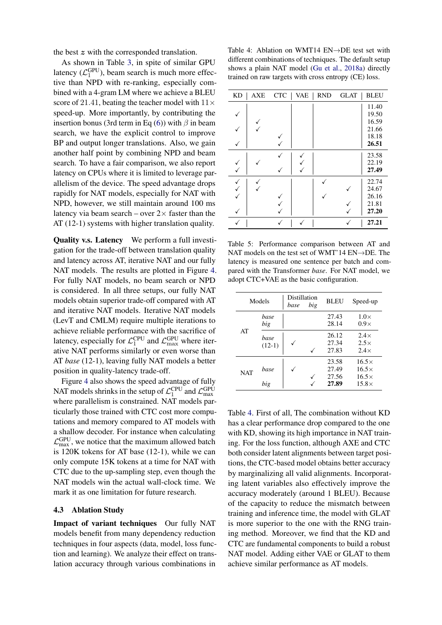the best z with the corresponded translation.

As shown in Table [3,](#page-6-0) in spite of similar GPU latency  $(\mathcal{L}_1^{\text{GPU}})$ , beam search is much more effective than NPD with re-ranking, especially combined with a 4-gram LM where we achieve a BLEU score of 21.41, beating the teacher model with  $11\times$ speed-up. More importantly, by contributing the insertion bonus (3rd term in Eq [\(6\)](#page-4-2)) with  $\beta$  in beam search, we have the explicit control to improve BP and output longer translations. Also, we gain another half point by combining NPD and beam search. To have a fair comparison, we also report latency on CPUs where it is limited to leverage parallelism of the device. The speed advantage drops rapidly for NAT models, especially for NAT with NPD, however, we still maintain around 100 ms latency via beam search – over  $2 \times$  faster than the AT (12-1) systems with higher translation quality.

Quality v.s. Latency We perform a full investigation for the trade-off between translation quality and latency across AT, iterative NAT and our fully NAT models. The results are plotted in Figure [4.](#page-6-3) For fully NAT models, no beam search or NPD is considered. In all three setups, our fully NAT models obtain superior trade-off compared with AT and iterative NAT models. Iterative NAT models (LevT and CMLM) require multiple iterations to achieve reliable performance with the sacrifice of latency, especially for  $\mathcal{L}_1^{\text{CPU}}$  and  $\mathcal{L}_{\text{max}}^{\text{GPU}}$  where iterative NAT performs similarly or even worse than AT *base* (12-1), leaving fully NAT models a better position in quality-latency trade-off.

Figure [4](#page-6-3) also shows the speed advantage of fully NAT models shrinks in the setup of  $\mathcal{L}_1^{\text{CPU}}$  and  $\mathcal{L}_{\text{max}}^{\text{GPU}}$ where parallelism is constrained. NAT models particularly those trained with CTC cost more computations and memory compared to AT models with a shallow decoder. For instance when calculating  $\mathcal{L}_{\text{max}}^{\text{GPU}}$ , we notice that the maximum allowed batch is 120K tokens for AT base (12-1), while we can only compute 15K tokens at a time for NAT with CTC due to the up-sampling step, even though the NAT models win the actual wall-clock time. We mark it as one limitation for future research.

#### 4.3 Ablation Study

Impact of variant techniques Our fully NAT models benefit from many dependency reduction techniques in four aspects (data, model, loss function and learning). We analyze their effect on translation accuracy through various combinations in

<span id="page-7-0"></span>Table 4: Ablation on WMT14 EN→DE test set with different combinations of techniques. The default setup shows a plain NAT model [\(Gu et al.,](#page-9-1) [2018a\)](#page-9-1) directly trained on raw targets with cross entropy (CE) loss.

| <b>KD</b> | AXE | <b>CTC</b> | <b>VAE</b> | <b>RND</b> | <b>GLAT</b> | <b>BLEU</b> |
|-----------|-----|------------|------------|------------|-------------|-------------|
|           |     |            |            |            |             | 11.40       |
|           |     |            |            |            |             | 19.50       |
|           |     |            |            |            |             | 16.59       |
|           |     |            |            |            |             | 21.66       |
|           |     |            |            |            |             | 18.18       |
|           |     |            |            |            |             | 26.51       |
|           |     |            |            |            |             | 23.58       |
|           |     |            |            |            |             | 22.19       |
|           |     |            |            |            |             | 27.49       |
|           |     |            |            |            |             | 22.74       |
|           |     |            |            |            |             | 24.67       |
|           |     |            |            |            |             | 26.16       |
|           |     |            |            |            |             | 21.81       |
|           |     |            |            |            |             | 27.20       |
|           |     |            |            |            |             | 27.21       |

<span id="page-7-1"></span>Table 5: Performance comparison between AT and NAT models on the test set of WMT'14 EN→DE. The latency is measured one sentence per batch and compared with the Transformer *base*. For NAT model, we adopt CTC+VAE as the basic configuration.

| Models     |                  | Distillation<br>big<br>base |  | <b>BLEU</b>                      | Speed-up                                                     |
|------------|------------------|-----------------------------|--|----------------------------------|--------------------------------------------------------------|
|            | base<br>big      |                             |  | 27.43<br>28.14                   | $1.0\times$<br>$0.9\times$                                   |
| AT         | base<br>$(12-1)$ |                             |  | 26.12<br>27.34<br>27.83          | $2.4\times$<br>$2.5\times$<br>$2.4\times$                    |
| <b>NAT</b> | base<br>big      |                             |  | 23.58<br>27.49<br>27.56<br>27.89 | $16.5\times$<br>$16.5\times$<br>$16.5\times$<br>$15.8\times$ |

Table [4.](#page-7-0) First of all, The combination without KD has a clear performance drop compared to the one with KD, showing its high importance in NAT training. For the loss function, although AXE and CTC both consider latent alignments between target positions, the CTC-based model obtains better accuracy by marginalizing all valid alignments. Incorporating latent variables also effectively improve the accuracy moderately (around 1 BLEU). Because of the capacity to reduce the mismatch between training and inference time, the model with GLAT is more superior to the one with the RNG training method. Moreover, we find that the KD and CTC are fundamental components to build a robust NAT model. Adding either VAE or GLAT to them achieve similar performance as AT models.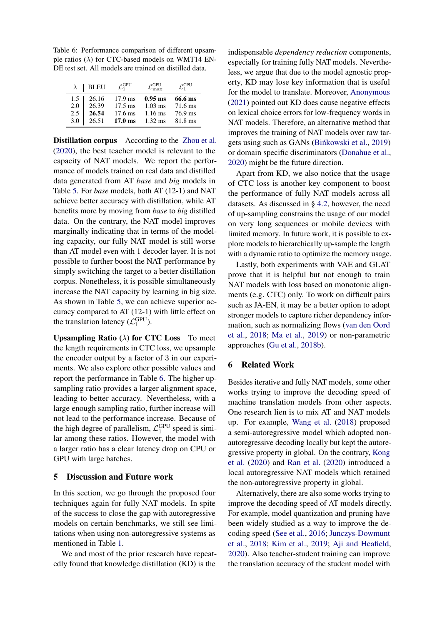<span id="page-8-0"></span>Table 6: Performance comparison of different upsample ratios ( $\lambda$ ) for CTC-based models on WMT14 EN-DE test set. All models are trained on distilled data.

| $\lambda$ | <b>BLEU</b> | $\mathcal{L}_1^{\rm GPU}$ | rGPU              | $\mathcal{L}_1^{\text{CPU}}$ |
|-----------|-------------|---------------------------|-------------------|------------------------------|
| 1.5       | 26.16       | $17.9 \text{ ms}$         | $0.95$ ms         | 66.6 ms                      |
| 2.0       | 26.39       | $17.5 \text{ ms}$         | $1.03$ ms         | 71.6 ms                      |
| 2.5       | 26.54       | $17.6 \text{ ms}$         | $1.16$ ms         | 76.9 ms                      |
| 3.0       | 26.51       | $17.0 \text{ ms}$         | $1.32 \text{ ms}$ | $81.8 \text{ ms}$            |

Distillation corpus According to the [Zhou et al.](#page-11-5) [\(2020\)](#page-11-5), the best teacher model is relevant to the capacity of NAT models. We report the performance of models trained on real data and distilled data generated from AT *base* and *big* models in Table [5.](#page-7-1) For *base* models, both AT (12-1) and NAT achieve better accuracy with distillation, while AT benefits more by moving from *base* to *big* distilled data. On the contrary, the NAT model improves marginally indicating that in terms of the modeling capacity, our fully NAT model is still worse than AT model even with 1 decoder layer. It is not possible to further boost the NAT performance by simply switching the target to a better distillation corpus. Nonetheless, it is possible simultaneously increase the NAT capacity by learning in big size. As shown in Table [5,](#page-7-1) we can achieve superior accuracy compared to AT (12-1) with little effect on the translation latency  $(\mathcal{L}_1^{\text{GPU}})$ .

**Upsampling Ratio** ( $\lambda$ ) for CTC Loss To meet the length requirements in CTC loss, we upsample the encoder output by a factor of 3 in our experiments. We also explore other possible values and report the performance in Table [6.](#page-8-0) The higher upsampling ratio provides a larger alignment space, leading to better accuracy. Nevertheless, with a large enough sampling ratio, further increase will not lead to the performance increase. Because of the high degree of parallelism,  $\mathcal{L}_1^{\text{GPU}}$  speed is similar among these ratios. However, the model with a larger ratio has a clear latency drop on CPU or GPU with large batches.

## 5 Discussion and Future work

In this section, we go through the proposed four techniques again for fully NAT models. In spite of the success to close the gap with autoregressive models on certain benchmarks, we still see limitations when using non-autoregressive systems as mentioned in Table [1.](#page-3-1)

We and most of the prior research have repeatedly found that knowledge distillation (KD) is the

indispensable *dependency reduction* components, especially for training fully NAT models. Nevertheless, we argue that due to the model agnostic property, KD may lose key information that is useful for the model to translate. Moreover, [Anonymous](#page-9-13) [\(2021\)](#page-9-13) pointed out KD does cause negative effects on lexical choice errors for low-frequency words in NAT models. Therefore, an alternative method that improves the training of NAT models over raw tar-gets using such as GANs [\(Binkowski et al.](#page-9-14), [2019\)](#page-9-14) or domain specific discriminators [\(Donahue et al.,](#page-9-15) [2020\)](#page-9-15) might be the future direction.

Apart from KD, we also notice that the usage of CTC loss is another key component to boost the performance of fully NAT models across all datasets. As discussed in § [4.2,](#page-5-1) however, the need of up-sampling constrains the usage of our model on very long sequences or mobile devices with limited memory. In future work, it is possible to explore models to hierarchically up-sample the length with a dynamic ratio to optimize the memory usage.

Lastly, both experiments with VAE and GLAT prove that it is helpful but not enough to train NAT models with loss based on monotonic alignments (e.g. CTC) only. To work on difficult pairs such as JA-EN, it may be a better option to adopt stronger models to capture richer dependency information, such as normalizing flows [\(van den Oord](#page-10-16) [et al.,](#page-10-16) [2018;](#page-10-16) [Ma et al.,](#page-10-6) [2019\)](#page-10-6) or non-parametric approaches [\(Gu et al.,](#page-9-16) [2018b\)](#page-9-16).

### 6 Related Work

Besides iterative and fully NAT models, some other works trying to improve the decoding speed of machine translation models from other aspects. One research lien is to mix AT and NAT models up. For example, [Wang et al.](#page-11-12) [\(2018\)](#page-11-12) proposed a semi-autoregressive model which adopted nonautoregressive decoding locally but kept the autoregressive property in global. On the contrary, [Kong](#page-10-17) [et al.](#page-10-17) [\(2020\)](#page-10-17) and [Ran et al.](#page-10-18) [\(2020\)](#page-10-18) introduced a local autoregressive NAT models which retained the non-autoregressive property in global.

Alternatively, there are also some works trying to improve the decoding speed of AT models directly. For example, model quantization and pruning have been widely studied as a way to improve the decoding speed [\(See et al.,](#page-11-13) [2016;](#page-11-13) [Junczys-Dowmunt](#page-9-17) [et al.,](#page-9-17) [2018;](#page-9-17) [Kim et al.,](#page-10-19) [2019;](#page-10-19) [Aji and Heafield,](#page-9-18) [2020\)](#page-9-18). Also teacher-student training can improve the translation accuracy of the student model with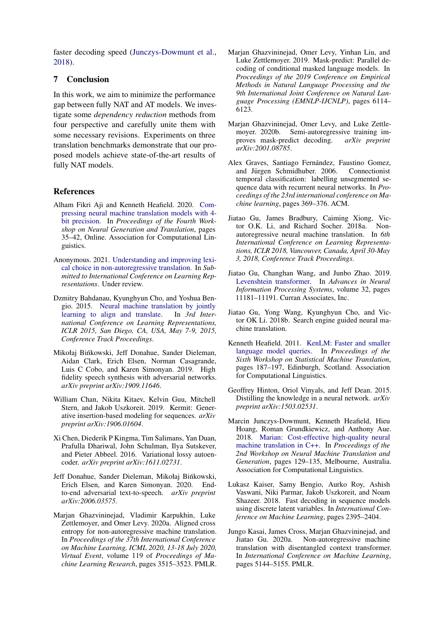faster decoding speed [\(Junczys-Dowmunt et al.,](#page-9-17) [2018\)](#page-9-17).

# 7 Conclusion

In this work, we aim to minimize the performance gap between fully NAT and AT models. We investigate some *dependency reduction* methods from four perspective and carefully unite them with some necessary revisions. Experiments on three translation benchmarks demonstrate that our proposed models achieve state-of-the-art results of fully NAT models.

### References

- <span id="page-9-18"></span>Alham Fikri Aji and Kenneth Heafield. 2020. [Com](https://doi.org/10.18653/v1/2020.ngt-1.4)[pressing neural machine translation models with 4](https://doi.org/10.18653/v1/2020.ngt-1.4) [bit precision.](https://doi.org/10.18653/v1/2020.ngt-1.4) In *Proceedings of the Fourth Workshop on Neural Generation and Translation*, pages 35–42, Online. Association for Computational Linguistics.
- <span id="page-9-13"></span>Anonymous. 2021. [Understanding and improving lexi](https://openreview.net/forum?id=ZTFeSBIX9C)[cal choice in non-autoregressive translation.](https://openreview.net/forum?id=ZTFeSBIX9C) In *Submitted to International Conference on Learning Representations*. Under review.
- <span id="page-9-0"></span>Dzmitry Bahdanau, Kyunghyun Cho, and Yoshua Ben-gio. 2015. [Neural machine translation by jointly](http://arxiv.org/abs/1409.0473) learning to align and translate. In  $3rd$  Inter[learning to align and translate.](http://arxiv.org/abs/1409.0473) *national Conference on Learning Representations, ICLR 2015, San Diego, CA, USA, May 7-9, 2015, Conference Track Proceedings*.
- <span id="page-9-14"></span>Mikołaj Binkowski, Jeff Donahue, Sander Dieleman, ´ Aidan Clark, Erich Elsen, Norman Casagrande, Luis C Cobo, and Karen Simonyan. 2019. High fidelity speech synthesis with adversarial networks. *arXiv preprint arXiv:1909.11646*.
- <span id="page-9-10"></span>William Chan, Nikita Kitaev, Kelvin Guu, Mitchell Stern, and Jakob Uszkoreit. 2019. Kermit: Generative insertion-based modeling for sequences. *arXiv preprint arXiv:1906.01604*.
- <span id="page-9-12"></span>Xi Chen, Diederik P Kingma, Tim Salimans, Yan Duan, Prafulla Dhariwal, John Schulman, Ilya Sutskever, and Pieter Abbeel. 2016. Variational lossy autoencoder. *arXiv preprint arXiv:1611.02731*.
- <span id="page-9-15"></span>Jeff Donahue, Sander Dieleman, Mikołaj Bińkowski, Erich Elsen, and Karen Simonyan. 2020. Endto-end adversarial text-to-speech. *arXiv preprint arXiv:2006.03575*.
- <span id="page-9-2"></span>Marjan Ghazvininejad, Vladimir Karpukhin, Luke Zettlemoyer, and Omer Levy. 2020a. Aligned cross entropy for non-autoregressive machine translation. In *Proceedings of the 37th International Conference on Machine Learning, ICML 2020, 13-18 July 2020, Virtual Event*, volume 119 of *Proceedings of Machine Learning Research*, pages 3515–3523. PMLR.
- <span id="page-9-3"></span>Marian Ghazvininejad, Omer Levy, Yinhan Liu, and Luke Zettlemoyer. 2019. Mask-predict: Parallel decoding of conditional masked language models. In *Proceedings of the 2019 Conference on Empirical Methods in Natural Language Processing and the 9th International Joint Conference on Natural Language Processing (EMNLP-IJCNLP)*, pages 6114– 6123.
- <span id="page-9-11"></span>Marjan Ghazvininejad, Omer Levy, and Luke Zettlemoyer. 2020b. Semi-autoregressive training improves mask-predict decoding. *arXiv preprint arXiv:2001.08785*.
- <span id="page-9-8"></span>Alex Graves, Santiago Fernández, Faustino Gomez, and Jürgen Schmidhuber. 2006. Connectionist temporal classification: labelling unsegmented sequence data with recurrent neural networks. In *Proceedings of the 23rd international conference on Machine learning*, pages 369–376. ACM.
- <span id="page-9-1"></span>Jiatao Gu, James Bradbury, Caiming Xiong, Victor O.K. Li, and Richard Socher. 2018a. Nonautoregressive neural machine translation. In *6th International Conference on Learning Representations, ICLR 2018, Vancouver, Canada, April 30-May 3, 2018, Conference Track Proceedings*.
- <span id="page-9-4"></span>Jiatao Gu, Changhan Wang, and Junbo Zhao. 2019. [Levenshtein transformer.](https://proceedings.neurips.cc/paper/2019/file/675f9820626f5bc0afb47b57890b466e-Paper.pdf) In *Advances in Neural Information Processing Systems*, volume 32, pages 11181–11191. Curran Associates, Inc.
- <span id="page-9-16"></span>Jiatao Gu, Yong Wang, Kyunghyun Cho, and Victor OK Li. 2018b. Search engine guided neural machine translation.
- <span id="page-9-9"></span>Kenneth Heafield. 2011. [KenLM: Faster and smaller](https://www.aclweb.org/anthology/W11-2123) [language model queries.](https://www.aclweb.org/anthology/W11-2123) In *Proceedings of the Sixth Workshop on Statistical Machine Translation*, pages 187–197, Edinburgh, Scotland. Association for Computational Linguistics.
- <span id="page-9-6"></span>Geoffrey Hinton, Oriol Vinyals, and Jeff Dean. 2015. Distilling the knowledge in a neural network. *arXiv preprint arXiv:1503.02531*.
- <span id="page-9-17"></span>Marcin Junczys-Dowmunt, Kenneth Heafield, Hieu Hoang, Roman Grundkiewicz, and Anthony Aue. 2018. [Marian: Cost-effective high-quality neural](https://doi.org/10.18653/v1/W18-2716) [machine translation in C++.](https://doi.org/10.18653/v1/W18-2716) In *Proceedings of the 2nd Workshop on Neural Machine Translation and Generation*, pages 129–135, Melbourne, Australia. Association for Computational Linguistics.
- <span id="page-9-7"></span>Lukasz Kaiser, Samy Bengio, Aurko Roy, Ashish Vaswani, Niki Parmar, Jakob Uszkoreit, and Noam Shazeer. 2018. Fast decoding in sequence models using discrete latent variables. In *International Conference on Machine Learning*, pages 2395–2404.
- <span id="page-9-5"></span>Jungo Kasai, James Cross, Marjan Ghazvininejad, and Jiatao Gu. 2020a. Non-autoregressive machine translation with disentangled context transformer. In *International Conference on Machine Learning*, pages 5144–5155. PMLR.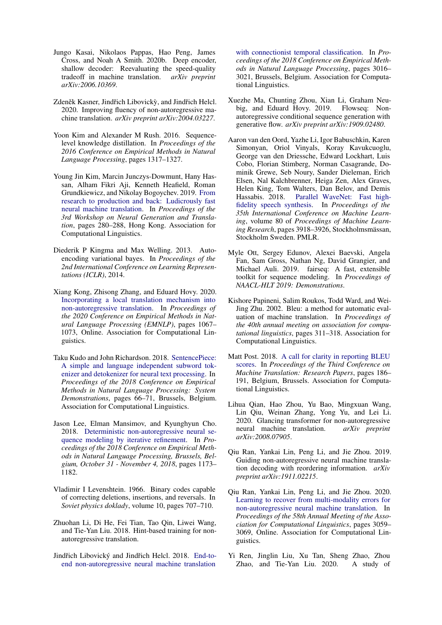- <span id="page-10-0"></span>Jungo Kasai, Nikolaos Pappas, Hao Peng, James Cross, and Noah A Smith. 2020b. Deep encoder, shallow decoder: Reevaluating the speed-quality tradeoff in machine translation. *arXiv preprint arXiv:2006.10369*.
- <span id="page-10-11"></span>Zdeněk Kasner, Jindřich Libovický, and Jindřich Helcl. 2020. Improving fluency of non-autoregressive machine translation. *arXiv preprint arXiv:2004.03227*.
- <span id="page-10-7"></span>Yoon Kim and Alexander M Rush. 2016. Sequencelevel knowledge distillation. In *Proceedings of the 2016 Conference on Empirical Methods in Natural Language Processing*, pages 1317–1327.
- <span id="page-10-19"></span>Young Jin Kim, Marcin Junczys-Dowmunt, Hany Hassan, Alham Fikri Aji, Kenneth Heafield, Roman Grundkiewicz, and Nikolay Bogoychev. 2019. [From](https://doi.org/10.18653/v1/D19-5632) [research to production and back: Ludicrously fast](https://doi.org/10.18653/v1/D19-5632) [neural machine translation.](https://doi.org/10.18653/v1/D19-5632) In *Proceedings of the 3rd Workshop on Neural Generation and Translation*, pages 280–288, Hong Kong. Association for Computational Linguistics.
- <span id="page-10-8"></span>Diederik P Kingma and Max Welling. 2013. Autoencoding variational bayes. In *Proceedings of the 2nd International Conference on Learning Representations (ICLR)*, 2014.
- <span id="page-10-17"></span>Xiang Kong, Zhisong Zhang, and Eduard Hovy. 2020. [Incorporating a local translation mechanism into](https://doi.org/10.18653/v1/2020.emnlp-main.79) [non-autoregressive translation.](https://doi.org/10.18653/v1/2020.emnlp-main.79) In *Proceedings of the 2020 Conference on Empirical Methods in Natural Language Processing (EMNLP)*, pages 1067– 1073, Online. Association for Computational Linguistics.
- <span id="page-10-10"></span>Taku Kudo and John Richardson. 2018. [SentencePiece:](https://doi.org/10.18653/v1/D18-2012) [A simple and language independent subword tok](https://doi.org/10.18653/v1/D18-2012)[enizer and detokenizer for neural text processing.](https://doi.org/10.18653/v1/D18-2012) In *Proceedings of the 2018 Conference on Empirical Methods in Natural Language Processing: System Demonstrations*, pages 66–71, Brussels, Belgium. Association for Computational Linguistics.
- <span id="page-10-3"></span>Jason Lee, Elman Mansimov, and Kyunghyun Cho. 2018. [Deterministic non-autoregressive neural se](https://aclanthology.info/papers/D18-1149/d18-1149)[quence modeling by iterative refinement.](https://aclanthology.info/papers/D18-1149/d18-1149) In *Proceedings of the 2018 Conference on Empirical Methods in Natural Language Processing, Brussels, Belgium, October 31 - November 4, 2018*, pages 1173– 1182.
- <span id="page-10-9"></span>Vladimir I Levenshtein. 1966. Binary codes capable of correcting deletions, insertions, and reversals. In *Soviet physics doklady*, volume 10, pages 707–710.
- <span id="page-10-5"></span>Zhuohan Li, Di He, Fei Tian, Tao Qin, Liwei Wang, and Tie-Yan Liu. 2018. Hint-based training for nonautoregressive translation.
- <span id="page-10-4"></span>Jindřich Libovický and Jindřich Helcl. 2018. [End-to](https://doi.org/10.18653/v1/D18-1336)[end non-autoregressive neural machine translation](https://doi.org/10.18653/v1/D18-1336)

[with connectionist temporal classification.](https://doi.org/10.18653/v1/D18-1336) In *Proceedings of the 2018 Conference on Empirical Methods in Natural Language Processing*, pages 3016– 3021, Brussels, Belgium. Association for Computational Linguistics.

- <span id="page-10-6"></span>Xuezhe Ma, Chunting Zhou, Xian Li, Graham Neubig, and Eduard Hovy. 2019. Flowseq: Nonautoregressive conditional sequence generation with generative flow. *arXiv preprint arXiv:1909.02480*.
- <span id="page-10-16"></span>Aaron van den Oord, Yazhe Li, Igor Babuschkin, Karen Simonyan, Oriol Vinyals, Koray Kavukcuoglu, George van den Driessche, Edward Lockhart, Luis Cobo, Florian Stimberg, Norman Casagrande, Dominik Grewe, Seb Noury, Sander Dieleman, Erich Elsen, Nal Kalchbrenner, Heiga Zen, Alex Graves, Helen King, Tom Walters, Dan Belov, and Demis Hassabis. 2018. [Parallel WaveNet: Fast high](http://proceedings.mlr.press/v80/oord18a.html)[fidelity speech synthesis.](http://proceedings.mlr.press/v80/oord18a.html) In *Proceedings of the 35th International Conference on Machine Learning*, volume 80 of *Proceedings of Machine Learning Research*, pages 3918–3926, Stockholmsmassan, ¨ Stockholm Sweden. PMLR.
- <span id="page-10-15"></span>Myle Ott, Sergey Edunov, Alexei Baevski, Angela Fan, Sam Gross, Nathan Ng, David Grangier, and Michael Auli. 2019. fairseq: A fast, extensible toolkit for sequence modeling. In *Proceedings of NAACL-HLT 2019: Demonstrations*.
- <span id="page-10-12"></span>Kishore Papineni, Salim Roukos, Todd Ward, and Wei-Jing Zhu. 2002. Bleu: a method for automatic evaluation of machine translation. In *Proceedings of the 40th annual meeting on association for computational linguistics*, pages 311–318. Association for Computational Linguistics.
- <span id="page-10-13"></span>Matt Post. 2018. [A call for clarity in reporting BLEU](https://www.aclweb.org/anthology/W18-6319) [scores.](https://www.aclweb.org/anthology/W18-6319) In *Proceedings of the Third Conference on Machine Translation: Research Papers*, pages 186– 191, Belgium, Brussels. Association for Computational Linguistics.
- <span id="page-10-1"></span>Lihua Qian, Hao Zhou, Yu Bao, Mingxuan Wang, Lin Qiu, Weinan Zhang, Yong Yu, and Lei Li. 2020. Glancing transformer for non-autoregressive neural machine translation. *arXiv preprint arXiv:2008.07905*.
- <span id="page-10-14"></span>Qiu Ran, Yankai Lin, Peng Li, and Jie Zhou. 2019. Guiding non-autoregressive neural machine translation decoding with reordering information. *arXiv preprint arXiv:1911.02215*.
- <span id="page-10-18"></span>Qiu Ran, Yankai Lin, Peng Li, and Jie Zhou. 2020. [Learning to recover from multi-modality errors for](https://doi.org/10.18653/v1/2020.acl-main.277) [non-autoregressive neural machine translation.](https://doi.org/10.18653/v1/2020.acl-main.277) In *Proceedings of the 58th Annual Meeting of the Association for Computational Linguistics*, pages 3059– 3069, Online. Association for Computational Linguistics.
- <span id="page-10-2"></span>Yi Ren, Jinglin Liu, Xu Tan, Sheng Zhao, Zhou Zhao, and Tie-Yan Liu. 2020. A study of